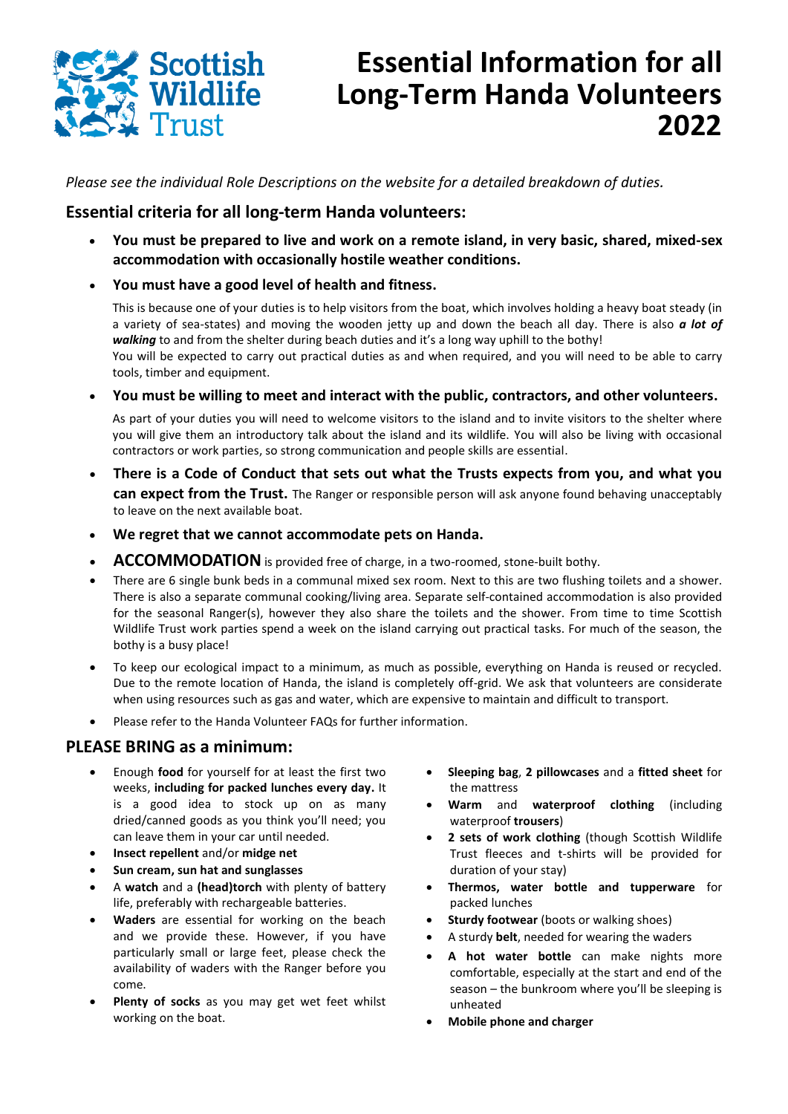

# **Essential Information for all Long-Term Handa Volunteers 2022**

*Please see the individual Role Descriptions on the website for a detailed breakdown of duties.*

#### **Essential criteria for all long-term Handa volunteers:**

- **You must be prepared to live and work on a remote island, in very basic, shared, mixed-sex accommodation with occasionally hostile weather conditions.**
- **You must have a good level of health and fitness.**

This is because one of your duties is to help visitors from the boat, which involves holding a heavy boat steady (in a variety of sea-states) and moving the wooden jetty up and down the beach all day. There is also *a lot of walking* to and from the shelter during beach duties and it's a long way uphill to the bothy! You will be expected to carry out practical duties as and when required, and you will need to be able to carry tools, timber and equipment.

• **You must be willing to meet and interact with the public, contractors, and other volunteers.**

As part of your duties you will need to welcome visitors to the island and to invite visitors to the shelter where you will give them an introductory talk about the island and its wildlife. You will also be living with occasional contractors or work parties, so strong communication and people skills are essential.

- **There is a Code of Conduct that sets out what the Trusts expects from you, and what you can expect from the Trust.** The Ranger or responsible person will ask anyone found behaving unacceptably to leave on the next available boat.
- **We regret that we cannot accommodate pets on Handa.**
- **ACCOMMODATION**is provided free of charge, in a two-roomed, stone-built bothy.
- There are 6 single bunk beds in a communal mixed sex room. Next to this are two flushing toilets and a shower. There is also a separate communal cooking/living area. Separate self-contained accommodation is also provided for the seasonal Ranger(s), however they also share the toilets and the shower. From time to time Scottish Wildlife Trust work parties spend a week on the island carrying out practical tasks. For much of the season, the bothy is a busy place!
- To keep our ecological impact to a minimum, as much as possible, everything on Handa is reused or recycled. Due to the remote location of Handa, the island is completely off-grid. We ask that volunteers are considerate when using resources such as gas and water, which are expensive to maintain and difficult to transport.
- Please refer to the Handa Volunteer FAQs for further information.

#### **PLEASE BRING as a minimum:**

- Enough **food** for yourself for at least the first two weeks, **including for packed lunches every day.** It is a good idea to stock up on as many dried/canned goods as you think you'll need; you can leave them in your car until needed.
- **Insect repellent** and/or **midge net**
- **Sun cream, sun hat and sunglasses**
- A **watch** and a **(head)torch** with plenty of battery life, preferably with rechargeable batteries.
- **Waders** are essential for working on the beach and we provide these. However, if you have particularly small or large feet, please check the availability of waders with the Ranger before you come.
- Plenty of socks as you may get wet feet whilst working on the boat.
- **Sleeping bag**, **2 pillowcases** and a **fitted sheet** for the mattress
- **Warm** and **waterproof clothing** (including waterproof **trousers**)
- **2 sets of work clothing** (though Scottish Wildlife Trust fleeces and t-shirts will be provided for duration of your stay)
- **Thermos, water bottle and tupperware** for packed lunches
- **Sturdy footwear** (boots or walking shoes)
- A sturdy **belt**, needed for wearing the waders
- **A hot water bottle** can make nights more comfortable, especially at the start and end of the season – the bunkroom where you'll be sleeping is unheated
- **Mobile phone and charger**